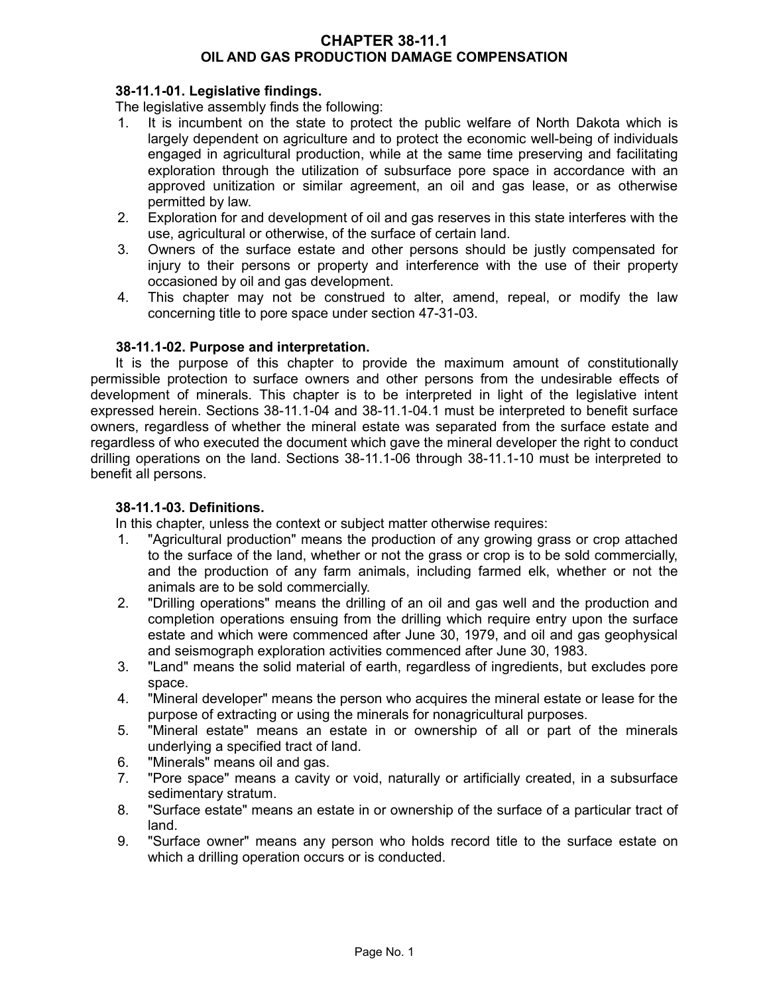## **CHAPTER 38-11.1 OIL AND GAS PRODUCTION DAMAGE COMPENSATION**

# **38-11.1-01. Legislative findings.**

The legislative assembly finds the following:

- 1. It is incumbent on the state to protect the public welfare of North Dakota which is largely dependent on agriculture and to protect the economic well-being of individuals engaged in agricultural production, while at the same time preserving and facilitating exploration through the utilization of subsurface pore space in accordance with an approved unitization or similar agreement, an oil and gas lease, or as otherwise permitted by law.
- 2. Exploration for and development of oil and gas reserves in this state interferes with the use, agricultural or otherwise, of the surface of certain land.
- 3. Owners of the surface estate and other persons should be justly compensated for injury to their persons or property and interference with the use of their property occasioned by oil and gas development.
- 4. This chapter may not be construed to alter, amend, repeal, or modify the law concerning title to pore space under section 47-31-03.

### **38-11.1-02. Purpose and interpretation.**

It is the purpose of this chapter to provide the maximum amount of constitutionally permissible protection to surface owners and other persons from the undesirable effects of development of minerals. This chapter is to be interpreted in light of the legislative intent expressed herein. Sections 38-11.1-04 and 38-11.1-04.1 must be interpreted to benefit surface owners, regardless of whether the mineral estate was separated from the surface estate and regardless of who executed the document which gave the mineral developer the right to conduct drilling operations on the land. Sections 38-11.1-06 through 38-11.1-10 must be interpreted to benefit all persons.

### **38-11.1-03. Definitions.**

In this chapter, unless the context or subject matter otherwise requires:

- 1. "Agricultural production" means the production of any growing grass or crop attached to the surface of the land, whether or not the grass or crop is to be sold commercially, and the production of any farm animals, including farmed elk, whether or not the animals are to be sold commercially.
- 2. "Drilling operations" means the drilling of an oil and gas well and the production and completion operations ensuing from the drilling which require entry upon the surface estate and which were commenced after June 30, 1979, and oil and gas geophysical and seismograph exploration activities commenced after June 30, 1983.
- 3. "Land" means the solid material of earth, regardless of ingredients, but excludes pore space.
- 4. "Mineral developer" means the person who acquires the mineral estate or lease for the purpose of extracting or using the minerals for nonagricultural purposes.
- 5. "Mineral estate" means an estate in or ownership of all or part of the minerals underlying a specified tract of land.
- 6. "Minerals" means oil and gas.
- 7. "Pore space" means a cavity or void, naturally or artificially created, in a subsurface sedimentary stratum.
- 8. "Surface estate" means an estate in or ownership of the surface of a particular tract of land.
- 9. "Surface owner" means any person who holds record title to the surface estate on which a drilling operation occurs or is conducted.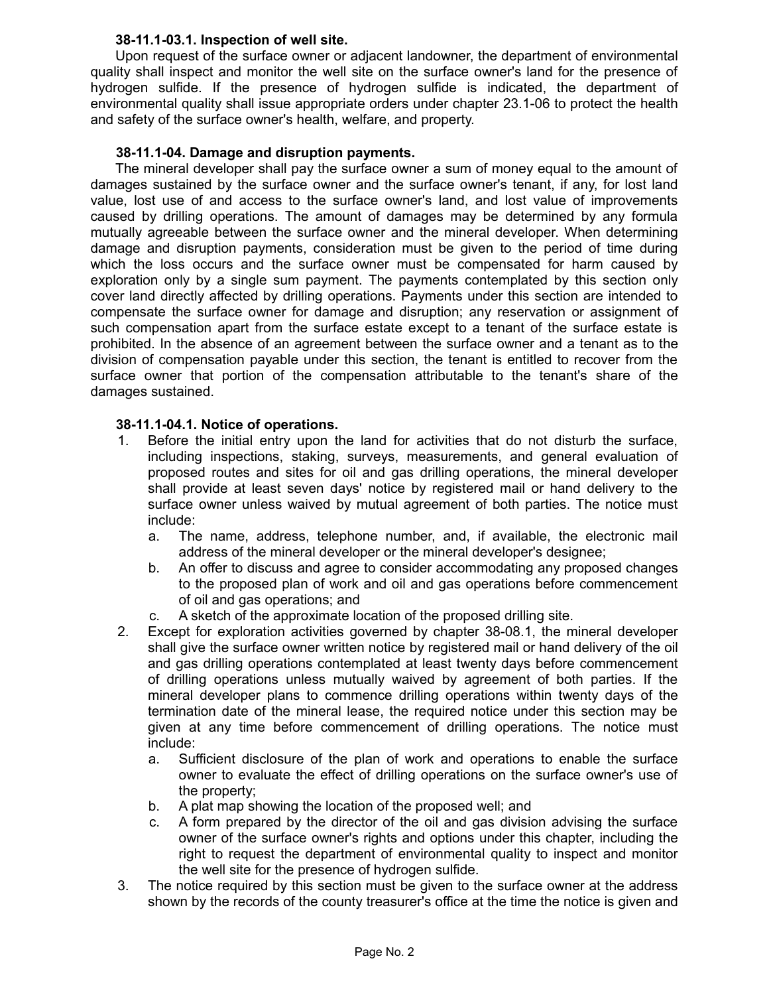## **38-11.1-03.1. Inspection of well site.**

Upon request of the surface owner or adjacent landowner, the department of environmental quality shall inspect and monitor the well site on the surface owner's land for the presence of hydrogen sulfide. If the presence of hydrogen sulfide is indicated, the department of environmental quality shall issue appropriate orders under chapter 23.1-06 to protect the health and safety of the surface owner's health, welfare, and property.

# **38-11.1-04. Damage and disruption payments.**

The mineral developer shall pay the surface owner a sum of money equal to the amount of damages sustained by the surface owner and the surface owner's tenant, if any, for lost land value, lost use of and access to the surface owner's land, and lost value of improvements caused by drilling operations. The amount of damages may be determined by any formula mutually agreeable between the surface owner and the mineral developer. When determining damage and disruption payments, consideration must be given to the period of time during which the loss occurs and the surface owner must be compensated for harm caused by exploration only by a single sum payment. The payments contemplated by this section only cover land directly affected by drilling operations. Payments under this section are intended to compensate the surface owner for damage and disruption; any reservation or assignment of such compensation apart from the surface estate except to a tenant of the surface estate is prohibited. In the absence of an agreement between the surface owner and a tenant as to the division of compensation payable under this section, the tenant is entitled to recover from the surface owner that portion of the compensation attributable to the tenant's share of the damages sustained.

## **38-11.1-04.1. Notice of operations.**

- 1. Before the initial entry upon the land for activities that do not disturb the surface, including inspections, staking, surveys, measurements, and general evaluation of proposed routes and sites for oil and gas drilling operations, the mineral developer shall provide at least seven days' notice by registered mail or hand delivery to the surface owner unless waived by mutual agreement of both parties. The notice must include:
	- a. The name, address, telephone number, and, if available, the electronic mail address of the mineral developer or the mineral developer's designee;
	- b. An offer to discuss and agree to consider accommodating any proposed changes to the proposed plan of work and oil and gas operations before commencement of oil and gas operations; and
	- c. A sketch of the approximate location of the proposed drilling site.
- 2. Except for exploration activities governed by chapter 38-08.1, the mineral developer shall give the surface owner written notice by registered mail or hand delivery of the oil and gas drilling operations contemplated at least twenty days before commencement of drilling operations unless mutually waived by agreement of both parties. If the mineral developer plans to commence drilling operations within twenty days of the termination date of the mineral lease, the required notice under this section may be given at any time before commencement of drilling operations. The notice must include:
	- a. Sufficient disclosure of the plan of work and operations to enable the surface owner to evaluate the effect of drilling operations on the surface owner's use of the property;
	- b. A plat map showing the location of the proposed well; and
	- c. A form prepared by the director of the oil and gas division advising the surface owner of the surface owner's rights and options under this chapter, including the right to request the department of environmental quality to inspect and monitor the well site for the presence of hydrogen sulfide.
- 3. The notice required by this section must be given to the surface owner at the address shown by the records of the county treasurer's office at the time the notice is given and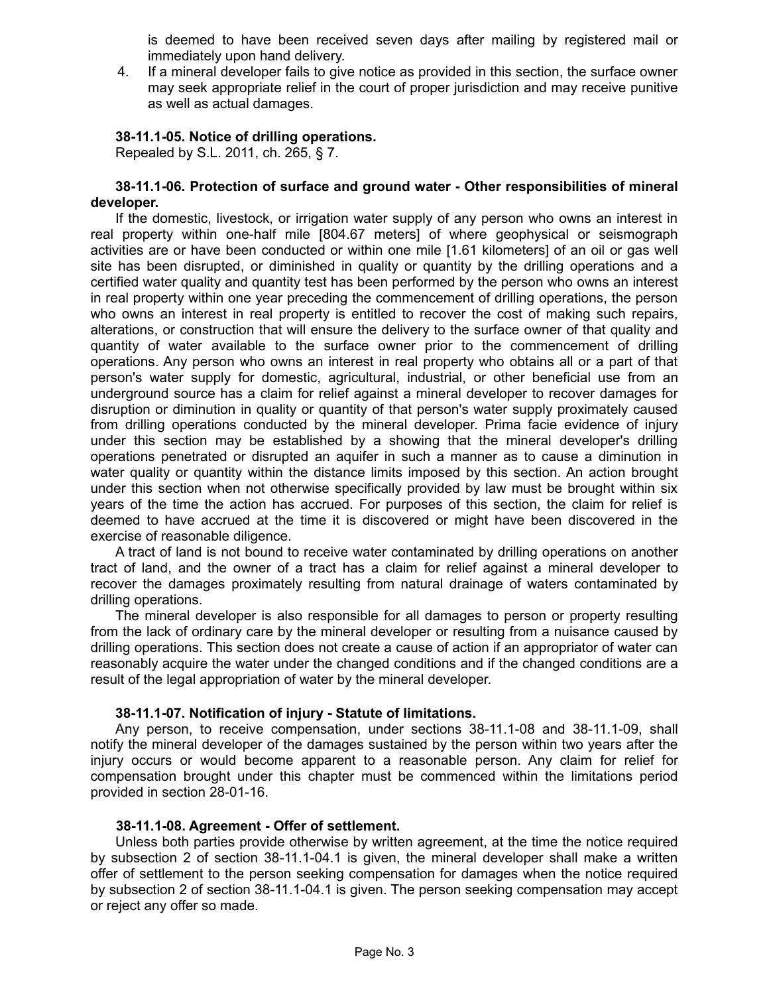is deemed to have been received seven days after mailing by registered mail or immediately upon hand delivery.

4. If a mineral developer fails to give notice as provided in this section, the surface owner may seek appropriate relief in the court of proper jurisdiction and may receive punitive as well as actual damages.

### **38-11.1-05. Notice of drilling operations.**

Repealed by S.L. 2011, ch. 265, § 7.

#### **38-11.1-06. Protection of surface and ground water - Other responsibilities of mineral developer.**

If the domestic, livestock, or irrigation water supply of any person who owns an interest in real property within one-half mile [804.67 meters] of where geophysical or seismograph activities are or have been conducted or within one mile [1.61 kilometers] of an oil or gas well site has been disrupted, or diminished in quality or quantity by the drilling operations and a certified water quality and quantity test has been performed by the person who owns an interest in real property within one year preceding the commencement of drilling operations, the person who owns an interest in real property is entitled to recover the cost of making such repairs, alterations, or construction that will ensure the delivery to the surface owner of that quality and quantity of water available to the surface owner prior to the commencement of drilling operations. Any person who owns an interest in real property who obtains all or a part of that person's water supply for domestic, agricultural, industrial, or other beneficial use from an underground source has a claim for relief against a mineral developer to recover damages for disruption or diminution in quality or quantity of that person's water supply proximately caused from drilling operations conducted by the mineral developer. Prima facie evidence of injury under this section may be established by a showing that the mineral developer's drilling operations penetrated or disrupted an aquifer in such a manner as to cause a diminution in water quality or quantity within the distance limits imposed by this section. An action brought under this section when not otherwise specifically provided by law must be brought within six years of the time the action has accrued. For purposes of this section, the claim for relief is deemed to have accrued at the time it is discovered or might have been discovered in the exercise of reasonable diligence.

A tract of land is not bound to receive water contaminated by drilling operations on another tract of land, and the owner of a tract has a claim for relief against a mineral developer to recover the damages proximately resulting from natural drainage of waters contaminated by drilling operations.

The mineral developer is also responsible for all damages to person or property resulting from the lack of ordinary care by the mineral developer or resulting from a nuisance caused by drilling operations. This section does not create a cause of action if an appropriator of water can reasonably acquire the water under the changed conditions and if the changed conditions are a result of the legal appropriation of water by the mineral developer.

### **38-11.1-07. Notification of injury - Statute of limitations.**

Any person, to receive compensation, under sections 38-11.1-08 and 38-11.1-09, shall notify the mineral developer of the damages sustained by the person within two years after the injury occurs or would become apparent to a reasonable person. Any claim for relief for compensation brought under this chapter must be commenced within the limitations period provided in section 28-01-16.

### **38-11.1-08. Agreement - Offer of settlement.**

Unless both parties provide otherwise by written agreement, at the time the notice required by subsection 2 of section 38-11.1-04.1 is given, the mineral developer shall make a written offer of settlement to the person seeking compensation for damages when the notice required by subsection 2 of section 38-11.1-04.1 is given. The person seeking compensation may accept or reject any offer so made.